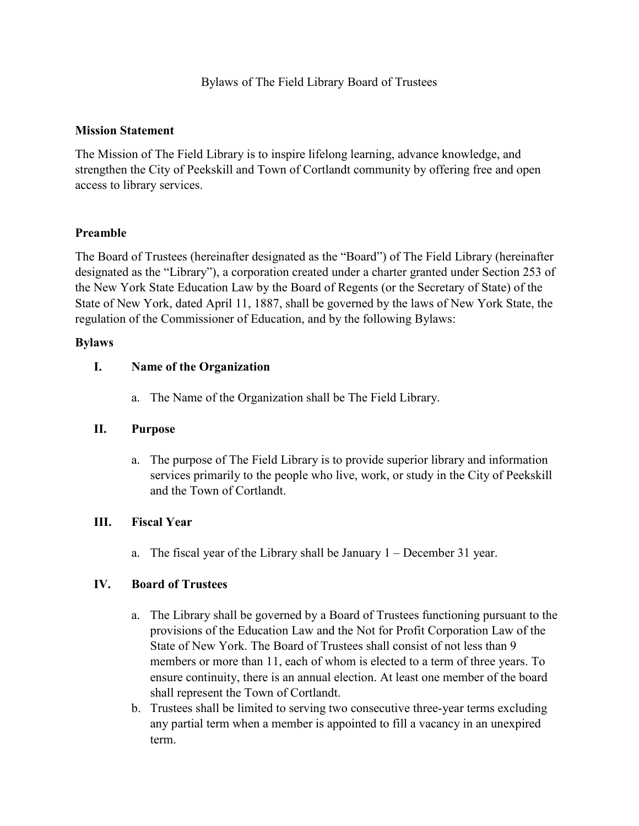#### **Mission Statement**

The Mission of The Field Library is to inspire lifelong learning, advance knowledge, and strengthen the City of Peekskill and Town of Cortlandt community by offering free and open access to library services.

### **Preamble**

The Board of Trustees (hereinafter designated as the "Board") of The Field Library (hereinafter designated as the "Library"), a corporation created under a charter granted under Section 253 of the New York State Education Law by the Board of Regents (or the Secretary of State) of the State of New York, dated April 11, 1887, shall be governed by the laws of New York State, the regulation of the Commissioner of Education, and by the following Bylaws:

#### **Bylaws**

### **I. Name of the Organization**

a. The Name of the Organization shall be The Field Library.

### **II. Purpose**

a. The purpose of The Field Library is to provide superior library and information services primarily to the people who live, work, or study in the City of Peekskill and the Town of Cortlandt.

### **III. Fiscal Year**

a. The fiscal year of the Library shall be January 1 – December 31 year.

### **IV. Board of Trustees**

- a. The Library shall be governed by a Board of Trustees functioning pursuant to the provisions of the Education Law and the Not for Profit Corporation Law of the State of New York. The Board of Trustees shall consist of not less than 9 members or more than 11, each of whom is elected to a term of three years. To ensure continuity, there is an annual election. At least one member of the board shall represent the Town of Cortlandt.
- b. Trustees shall be limited to serving two consecutive three-year terms excluding any partial term when a member is appointed to fill a vacancy in an unexpired term.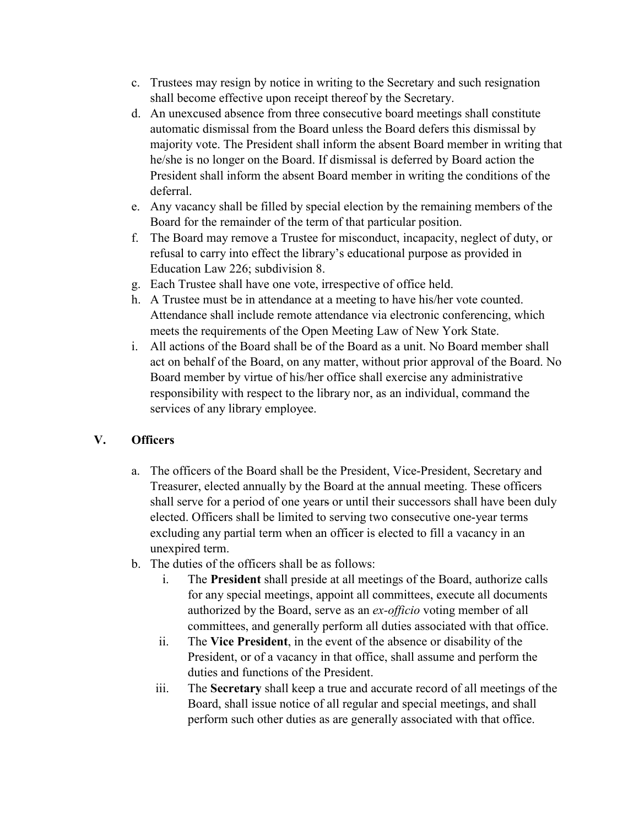- c. Trustees may resign by notice in writing to the Secretary and such resignation shall become effective upon receipt thereof by the Secretary.
- d. An unexcused absence from three consecutive board meetings shall constitute automatic dismissal from the Board unless the Board defers this dismissal by majority vote. The President shall inform the absent Board member in writing that he/she is no longer on the Board. If dismissal is deferred by Board action the President shall inform the absent Board member in writing the conditions of the deferral.
- e. Any vacancy shall be filled by special election by the remaining members of the Board for the remainder of the term of that particular position.
- f. The Board may remove a Trustee for misconduct, incapacity, neglect of duty, or refusal to carry into effect the library's educational purpose as provided in Education Law 226; subdivision 8.
- g. Each Trustee shall have one vote, irrespective of office held.
- h. A Trustee must be in attendance at a meeting to have his/her vote counted. Attendance shall include remote attendance via electronic conferencing, which meets the requirements of the Open Meeting Law of New York State.
- i. All actions of the Board shall be of the Board as a unit. No Board member shall act on behalf of the Board, on any matter, without prior approval of the Board. No Board member by virtue of his/her office shall exercise any administrative responsibility with respect to the library nor, as an individual, command the services of any library employee.

# **V. Officers**

- a. The officers of the Board shall be the President, Vice-President, Secretary and Treasurer, elected annually by the Board at the annual meeting. These officers shall serve for a period of one years or until their successors shall have been duly elected. Officers shall be limited to serving two consecutive one-year terms excluding any partial term when an officer is elected to fill a vacancy in an unexpired term.
- b. The duties of the officers shall be as follows:
	- i. The **President** shall preside at all meetings of the Board, authorize calls for any special meetings, appoint all committees, execute all documents authorized by the Board, serve as an *ex-officio* voting member of all committees, and generally perform all duties associated with that office.
	- ii. The **Vice President**, in the event of the absence or disability of the President, or of a vacancy in that office, shall assume and perform the duties and functions of the President.
	- iii. The **Secretary** shall keep a true and accurate record of all meetings of the Board, shall issue notice of all regular and special meetings, and shall perform such other duties as are generally associated with that office.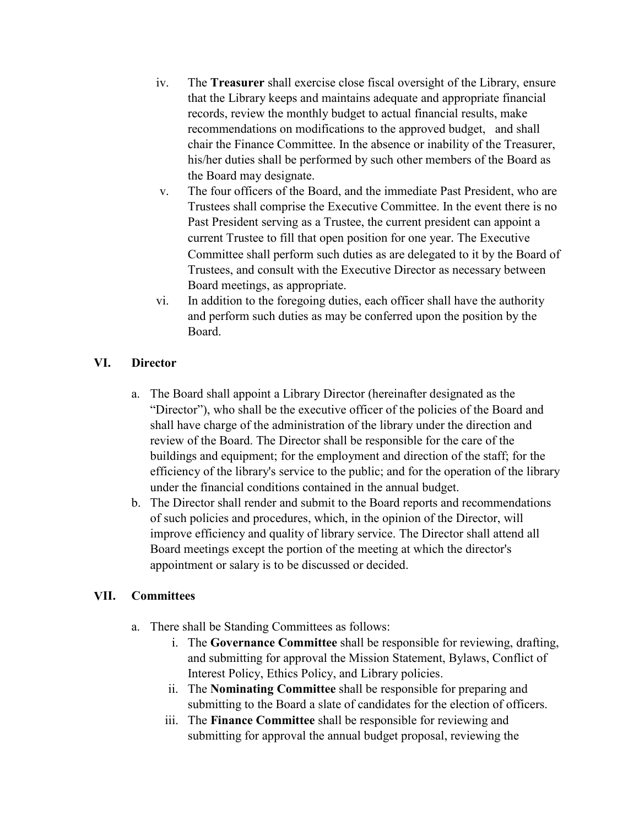- iv. The **Treasurer** shall exercise close fiscal oversight of the Library, ensure that the Library keeps and maintains adequate and appropriate financial records, review the monthly budget to actual financial results, make recommendations on modifications to the approved budget, and shall chair the Finance Committee. In the absence or inability of the Treasurer, his/her duties shall be performed by such other members of the Board as the Board may designate.
- v. The four officers of the Board, and the immediate Past President, who are Trustees shall comprise the Executive Committee. In the event there is no Past President serving as a Trustee, the current president can appoint a current Trustee to fill that open position for one year. The Executive Committee shall perform such duties as are delegated to it by the Board of Trustees, and consult with the Executive Director as necessary between Board meetings, as appropriate.
- vi. In addition to the foregoing duties, each officer shall have the authority and perform such duties as may be conferred upon the position by the Board.

### **VI. Director**

- a. The Board shall appoint a Library Director (hereinafter designated as the "Director"), who shall be the executive officer of the policies of the Board and shall have charge of the administration of the library under the direction and review of the Board. The Director shall be responsible for the care of the buildings and equipment; for the employment and direction of the staff; for the efficiency of the library's service to the public; and for the operation of the library under the financial conditions contained in the annual budget.
- b. The Director shall render and submit to the Board reports and recommendations of such policies and procedures, which, in the opinion of the Director, will improve efficiency and quality of library service. The Director shall attend all Board meetings except the portion of the meeting at which the director's appointment or salary is to be discussed or decided.

### **VII. Committees**

- a. There shall be Standing Committees as follows:
	- i. The **Governance Committee** shall be responsible for reviewing, drafting, and submitting for approval the Mission Statement, Bylaws, Conflict of Interest Policy, Ethics Policy, and Library policies.
	- ii. The **Nominating Committee** shall be responsible for preparing and submitting to the Board a slate of candidates for the election of officers.
	- iii. The **Finance Committee** shall be responsible for reviewing and submitting for approval the annual budget proposal, reviewing the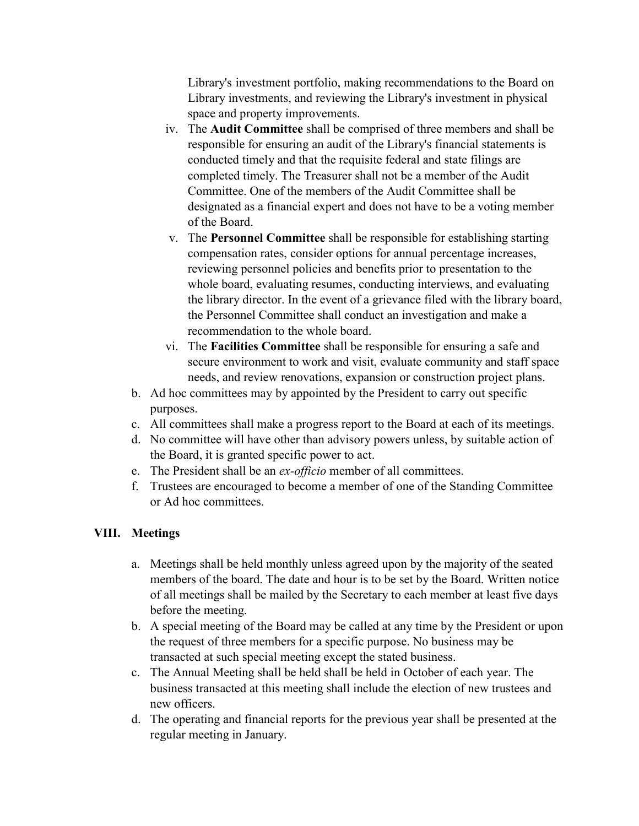Library's investment portfolio, making recommendations to the Board on Library investments, and reviewing the Library's investment in physical space and property improvements.

- iv. The **Audit Committee** shall be comprised of three members and shall be responsible for ensuring an audit of the Library's financial statements is conducted timely and that the requisite federal and state filings are completed timely. The Treasurer shall not be a member of the Audit Committee. One of the members of the Audit Committee shall be designated as a financial expert and does not have to be a voting member of the Board.
- v. The **Personnel Committee** shall be responsible for establishing starting compensation rates, consider options for annual percentage increases, reviewing personnel policies and benefits prior to presentation to the whole board, evaluating resumes, conducting interviews, and evaluating the library director. In the event of a grievance filed with the library board, the Personnel Committee shall conduct an investigation and make a recommendation to the whole board.
- vi. The **Facilities Committee** shall be responsible for ensuring a safe and secure environment to work and visit, evaluate community and staff space needs, and review renovations, expansion or construction project plans.
- b. Ad hoc committees may by appointed by the President to carry out specific purposes.
- c. All committees shall make a progress report to the Board at each of its meetings.
- d. No committee will have other than advisory powers unless, by suitable action of the Board, it is granted specific power to act.
- e. The President shall be an *ex-officio* member of all committees.
- f. Trustees are encouraged to become a member of one of the Standing Committee or Ad hoc committees.

# **VIII. Meetings**

- a. Meetings shall be held monthly unless agreed upon by the majority of the seated members of the board. The date and hour is to be set by the Board. Written notice of all meetings shall be mailed by the Secretary to each member at least five days before the meeting.
- b. A special meeting of the Board may be called at any time by the President or upon the request of three members for a specific purpose. No business may be transacted at such special meeting except the stated business.
- c. The Annual Meeting shall be held shall be held in October of each year. The business transacted at this meeting shall include the election of new trustees and new officers.
- d. The operating and financial reports for the previous year shall be presented at the regular meeting in January.